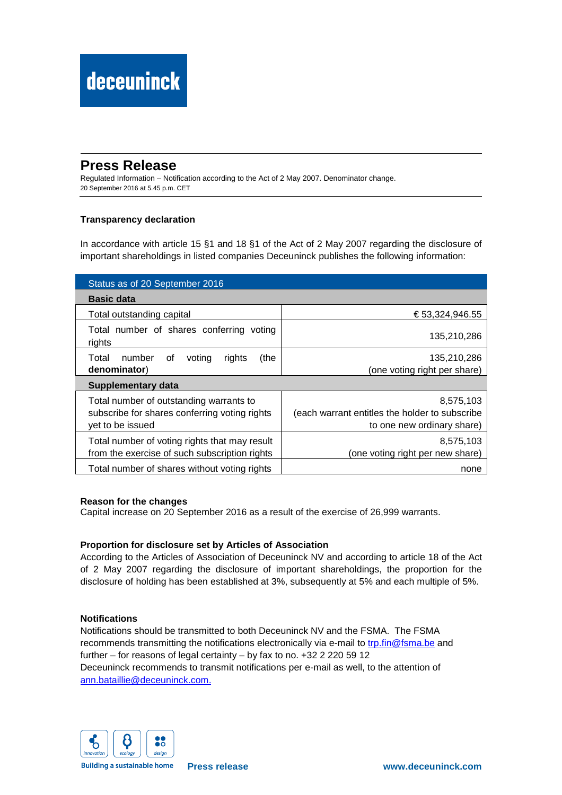# **Press Release**

Regulated Information – Notification according to the Act of 2 May 2007. Denominator change. 20 September 2016 at 5.45 p.m. CET

## **Transparency declaration**

In accordance with article 15 §1 and 18 §1 of the Act of 2 May 2007 regarding the disclosure of important shareholdings in listed companies Deceuninck publishes the following information:

| Status as of 20 September 2016                                                                               |                                                                                           |  |  |  |
|--------------------------------------------------------------------------------------------------------------|-------------------------------------------------------------------------------------------|--|--|--|
| <b>Basic data</b>                                                                                            |                                                                                           |  |  |  |
| Total outstanding capital                                                                                    | € 53,324,946.55                                                                           |  |  |  |
| Total number of shares conferring voting<br>rights                                                           | 135,210,286                                                                               |  |  |  |
| number<br>(the<br>Total<br>rights<br>of<br>voting<br>denominator)                                            | 135,210,286<br>(one voting right per share)                                               |  |  |  |
| Supplementary data                                                                                           |                                                                                           |  |  |  |
| Total number of outstanding warrants to<br>subscribe for shares conferring voting rights<br>yet to be issued | 8,575,103<br>(each warrant entitles the holder to subscribe<br>to one new ordinary share) |  |  |  |
| Total number of voting rights that may result<br>from the exercise of such subscription rights               | 8,575,103<br>(one voting right per new share)                                             |  |  |  |
| Total number of shares without voting rights                                                                 | none                                                                                      |  |  |  |

### **Reason for the changes**

Capital increase on 20 September 2016 as a result of the exercise of 26,999 warrants.

### **Proportion for disclosure set by Articles of Association**

According to the Articles of Association of Deceuninck NV and according to article 18 of the Act of 2 May 2007 regarding the disclosure of important shareholdings, the proportion for the disclosure of holding has been established at 3%, subsequently at 5% and each multiple of 5%.

### **Notifications**

Notifications should be transmitted to both Deceuninck NV and the FSMA. The FSMA recommends transmitting the notifications electronically via e-mail to trp.fin@fsma.be and further – for reasons of legal certainty – by fax to no. +32 2 220 59 12 Deceuninck recommends to transmit notifications per e-mail as well, to the attention of ann.bataillie@deceuninck.com.



**Building a sustainable home**